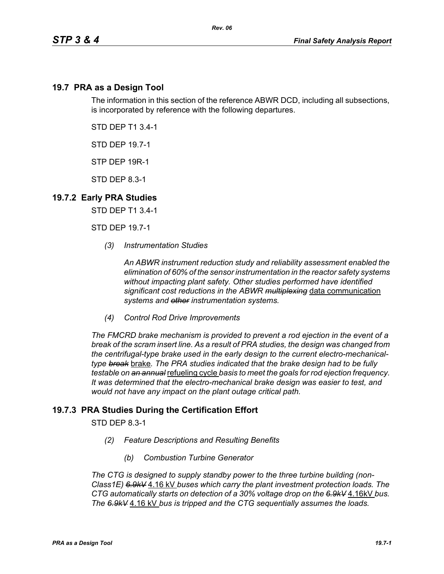## **19.7 PRA as a Design Tool**

The information in this section of the reference ABWR DCD, including all subsections, is incorporated by reference with the following departures.

STD DEP T1 3.4-1

STD DEP 19.7-1

STP DEP 19R-1

STD DEP 8.3-1

## **19.7.2 Early PRA Studies**

STD DEP T1 3.4-1

STD DEP 19.7-1

*(3) Instrumentation Studies*

*An ABWR instrument reduction study and reliability assessment enabled the elimination of 60% of the sensor instrumentation in the reactor safety systems without impacting plant safety. Other studies performed have identified significant cost reductions in the ABWR multiplexing* data communication *systems and other instrumentation systems.*

*(4) Control Rod Drive Improvements* 

*The FMCRD brake mechanism is provided to prevent a rod ejection in the event of a break of the scram insert line. As a result of PRA studies, the design was changed from the centrifugal-type brake used in the early design to the current electro-mechanicaltype break* brake*. The PRA studies indicated that the brake design had to be fully testable on an annual* refueling cycle *basis to meet the goals for rod ejection frequency. It was determined that the electro-mechanical brake design was easier to test, and would not have any impact on the plant outage critical path.*

## **19.7.3 PRA Studies During the Certification Effort**

STD DEP 8.3-1

- *(2) Feature Descriptions and Resulting Benefits* 
	- *(b) Combustion Turbine Generator*

*The CTG is designed to supply standby power to the three turbine building (non-Class1E) 6.9kV* 4.16 kV *buses which carry the plant investment protection loads. The CTG automatically starts on detection of a 30% voltage drop on the 6.9kV* 4.16kV *bus. The 6.9kV* 4.16 kV *bus is tripped and the CTG sequentially assumes the loads.*